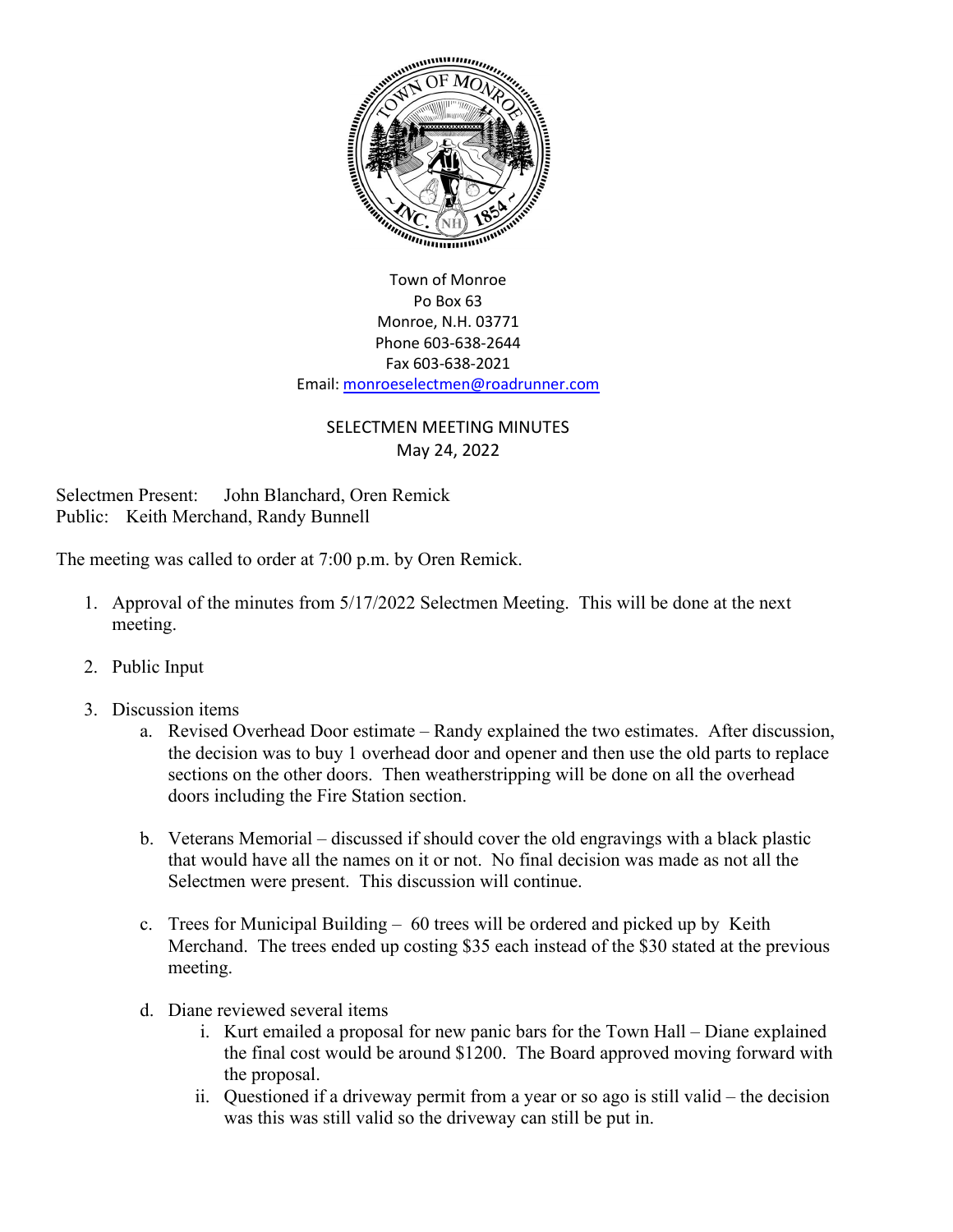

Town of Monroe Po Box 63 Monroe, N.H. 03771 Phone 603-638-2644 Fax 603-638-2021 Email[: monroeselectmen@roadrunner.com](mailto:monroeselectmen@roadrunner.com)

## SELECTMEN MEETING MINUTES May 24, 2022

Selectmen Present: John Blanchard, Oren Remick Public: Keith Merchand, Randy Bunnell

The meeting was called to order at 7:00 p.m. by Oren Remick.

- 1. Approval of the minutes from 5/17/2022 Selectmen Meeting. This will be done at the next meeting.
- 2. Public Input
- 3. Discussion items
	- a. Revised Overhead Door estimate Randy explained the two estimates. After discussion, the decision was to buy 1 overhead door and opener and then use the old parts to replace sections on the other doors. Then weatherstripping will be done on all the overhead doors including the Fire Station section.
	- b. Veterans Memorial discussed if should cover the old engravings with a black plastic that would have all the names on it or not. No final decision was made as not all the Selectmen were present. This discussion will continue.
	- c. Trees for Municipal Building 60 trees will be ordered and picked up by Keith Merchand. The trees ended up costing \$35 each instead of the \$30 stated at the previous meeting.
	- d. Diane reviewed several items
		- i. Kurt emailed a proposal for new panic bars for the Town Hall Diane explained the final cost would be around \$1200. The Board approved moving forward with the proposal.
		- ii. Questioned if a driveway permit from a year or so ago is still valid the decision was this was still valid so the driveway can still be put in.